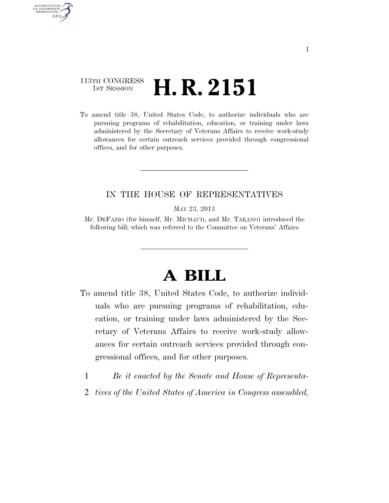## 113TH CONGRESS <sup>TH CONGRESS</sup> **H. R. 2151**

AUTHENTICATED U.S. GOVERNMENT **GPO** 

> To amend title 38, United States Code, to authorize individuals who are pursuing programs of rehabilitation, education, or training under laws administered by the Secretary of Veterans Affairs to receive work-study allowances for certain outreach services provided through congressional offices, and for other purposes.

## IN THE HOUSE OF REPRESENTATIVES

MAY 23, 2013

Mr. DEFAZIO (for himself, Mr. MICHAUD, and Mr. TAKANO) introduced the following bill; which was referred to the Committee on Veterans' Affairs

## **A BILL**

- To amend title 38, United States Code, to authorize individuals who are pursuing programs of rehabilitation, education, or training under laws administered by the Secretary of Veterans Affairs to receive work-study allowances for certain outreach services provided through congressional offices, and for other purposes.
	- 1 *Be it enacted by the Senate and House of Representa-*
	- 2 *tives of the United States of America in Congress assembled,*